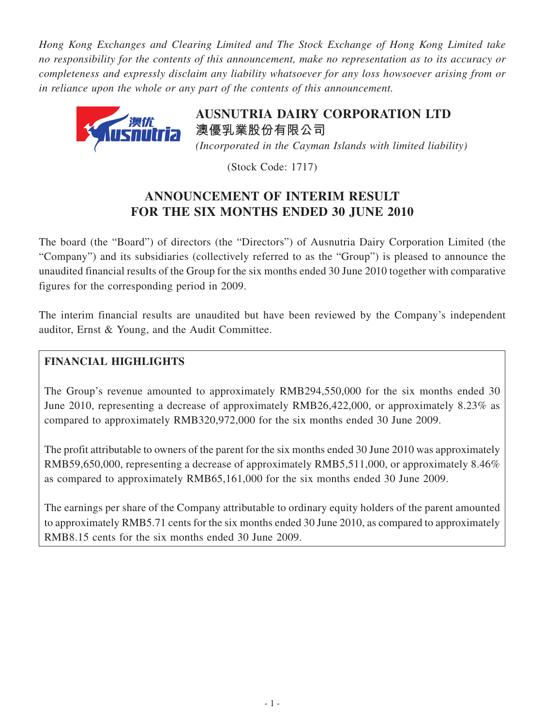*Hong Kong Exchanges and Clearing Limited and The Stock Exchange of Hong Kong Limited take no responsibility for the contents of this announcement, make no representation as to its accuracy or completeness and expressly disclaim any liability whatsoever for any loss howsoever arising from or in reliance upon the whole or any part of the contents of this announcement.*



**AusnutriA dAirY corPorAtion ltd 澳優乳業股份有限公司** *(Incorporated in the Cayman Islands with limited liability)*

(Stock Code: 1717)

# **Announcement of interim result for the six months ended 30 june 2010**

The board (the "Board") of directors (the "Directors") of Ausnutria Dairy Corporation Limited (the "Company") and its subsidiaries (collectively referred to as the "Group") is pleased to announce the unaudited financial results of the Group for the six months ended 30 June 2010 together with comparative figures for the corresponding period in 2009.

The interim financial results are unaudited but have been reviewed by the Company's independent auditor, Ernst & Young, and the Audit Committee.

# **Financial Highlights**

The Group's revenue amounted to approximately RMB294,550,000 for the six months ended 30 June 2010, representing a decrease of approximately RMB26,422,000, or approximately 8.23% as compared to approximately RMB320,972,000 for the six months ended 30 June 2009.

The profit attributable to owners of the parent for the six months ended 30 June 2010 was approximately RMB59,650,000, representing a decrease of approximately RMB5,511,000, or approximately 8.46% as compared to approximately RMB65,161,000 for the six months ended 30 June 2009.

The earnings per share of the Company attributable to ordinary equity holders of the parent amounted to approximately RMB5.71 cents for the six months ended 30 June 2010, as compared to approximately RMB8.15 cents for the six months ended 30 June 2009.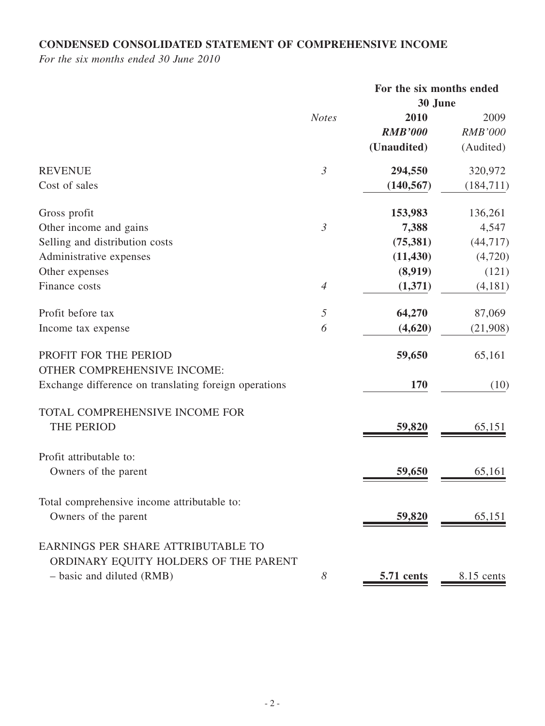# **CONDENSED CONSOLIDATED STATEMENT OF COMPREHENSIVE INCOME**

*For the six months ended 30 June 2010*

|                                                       |                | For the six months ended |                |
|-------------------------------------------------------|----------------|--------------------------|----------------|
|                                                       |                | 30 June                  |                |
|                                                       | <b>Notes</b>   | 2010                     | 2009           |
|                                                       |                | <b>RMB'000</b>           | <b>RMB'000</b> |
|                                                       |                | (Unaudited)              | (Audited)      |
| <b>REVENUE</b>                                        | $\mathfrak{Z}$ | 294,550                  | 320,972        |
| Cost of sales                                         |                | (140, 567)               | (184, 711)     |
| Gross profit                                          |                | 153,983                  | 136,261        |
| Other income and gains                                | $\mathfrak{Z}$ | 7,388                    | 4,547          |
| Selling and distribution costs                        |                | (75, 381)                | (44, 717)      |
| Administrative expenses                               |                | (11, 430)                | (4,720)        |
| Other expenses                                        |                | (8,919)                  | (121)          |
| Finance costs                                         | $\overline{4}$ | (1,371)                  | (4,181)        |
| Profit before tax                                     | 5              | 64,270                   | 87,069         |
| Income tax expense                                    | 6              | (4,620)                  | (21,908)       |
| PROFIT FOR THE PERIOD                                 |                | 59,650                   | 65,161         |
| OTHER COMPREHENSIVE INCOME:                           |                |                          |                |
| Exchange difference on translating foreign operations |                | 170                      | (10)           |
| TOTAL COMPREHENSIVE INCOME FOR                        |                |                          |                |
| THE PERIOD                                            |                | 59,820                   | 65,151         |
| Profit attributable to:                               |                |                          |                |
| Owners of the parent                                  |                | 59,650                   | 65,161         |
| Total comprehensive income attributable to:           |                |                          |                |
| Owners of the parent                                  |                | 59,820                   | 65,151         |
| EARNINGS PER SHARE ATTRIBUTABLE TO                    |                |                          |                |
| ORDINARY EQUITY HOLDERS OF THE PARENT                 |                |                          |                |
| - basic and diluted (RMB)                             | 8              | 5.71 cents               | 8.15 cents     |
|                                                       |                |                          |                |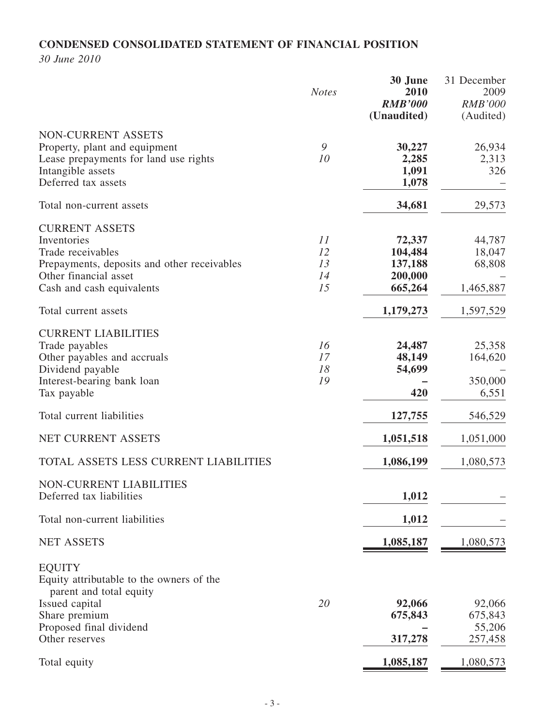# **CONDENSED CONSOLIDATED STATEMENT OF FINANCIAL POSITION**

*30 June 2010*

|                                                                                                                                                                | <b>Notes</b>               | 30 June<br>2010<br><b>RMB'000</b><br>(Unaudited)   | 31 December<br>2009<br><b>RMB'000</b><br>(Audited) |
|----------------------------------------------------------------------------------------------------------------------------------------------------------------|----------------------------|----------------------------------------------------|----------------------------------------------------|
| NON-CURRENT ASSETS<br>Property, plant and equipment<br>Lease prepayments for land use rights<br>Intangible assets<br>Deferred tax assets                       | 9<br>10                    | 30,227<br>2,285<br>1,091<br>1,078                  | 26,934<br>2,313<br>326                             |
| Total non-current assets                                                                                                                                       |                            | 34,681                                             | 29,573                                             |
| <b>CURRENT ASSETS</b><br>Inventories<br>Trade receivables<br>Prepayments, deposits and other receivables<br>Other financial asset<br>Cash and cash equivalents | 11<br>12<br>13<br>14<br>15 | 72,337<br>104,484<br>137,188<br>200,000<br>665,264 | 44,787<br>18,047<br>68,808<br>1,465,887            |
| Total current assets                                                                                                                                           |                            | 1,179,273                                          | 1,597,529                                          |
| <b>CURRENT LIABILITIES</b><br>Trade payables<br>Other payables and accruals<br>Dividend payable<br>Interest-bearing bank loan<br>Tax payable                   | 16<br>17<br>18<br>19       | 24,487<br>48,149<br>54,699<br>420                  | 25,358<br>164,620<br>350,000<br>6,551              |
| Total current liabilities                                                                                                                                      |                            | 127,755                                            | 546,529                                            |
| NET CURRENT ASSETS                                                                                                                                             |                            | 1,051,518                                          | 1,051,000                                          |
| TOTAL ASSETS LESS CURRENT LIABILITIES                                                                                                                          |                            | 1,086,199                                          | 1,080,573                                          |
| NON-CURRENT LIABILITIES<br>Deferred tax liabilities                                                                                                            |                            | 1,012                                              |                                                    |
| Total non-current liabilities                                                                                                                                  |                            | 1,012                                              |                                                    |
| <b>NET ASSETS</b>                                                                                                                                              |                            | 1,085,187                                          | 1,080,573                                          |
| <b>EQUITY</b><br>Equity attributable to the owners of the<br>parent and total equity<br>Issued capital                                                         | 20                         | 92,066                                             | 92,066                                             |
| Share premium<br>Proposed final dividend                                                                                                                       |                            | 675,843                                            | 675,843<br>55,206                                  |
| Other reserves                                                                                                                                                 |                            | 317,278                                            | 257,458                                            |
| Total equity                                                                                                                                                   |                            | 1,085,187                                          | 1,080,573                                          |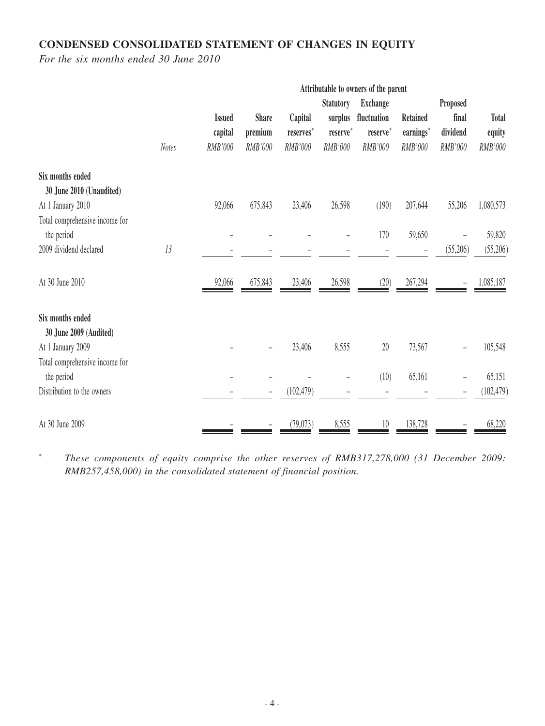# **CONDENSED CONSOLIDATED STATEMENT OF CHANGES IN EQUITY**

*For the six months ended 30 June 2010*

|                                |              | Attributable to owners of the parent |              |            |                  |                 |                 |          |              |
|--------------------------------|--------------|--------------------------------------|--------------|------------|------------------|-----------------|-----------------|----------|--------------|
|                                |              |                                      |              |            | <b>Statutory</b> | <b>Exchange</b> |                 | Proposed |              |
|                                |              | <b>Issued</b>                        | <b>Share</b> | Capital    | surplus          | fluctuation     | <b>Retained</b> | final    | <b>Total</b> |
|                                |              | capital                              | premium      | reserves*  | reserve*         | reserve*        | earnings*       | dividend | equity       |
|                                | <b>Notes</b> | RMB'000                              | RMB'000      | RMB'000    | RMB'000          | RMB'000         | RMB'000         | RMB'000  | RMB'000      |
| Six months ended               |              |                                      |              |            |                  |                 |                 |          |              |
| 30 June 2010 (Unaudited)       |              |                                      |              |            |                  |                 |                 |          |              |
| At 1 January 2010              |              | 92,066                               | 675,843      | 23,406     | 26,598           | (190)           | 207,644         | 55,206   | 1,080,573    |
| Total comprehensive income for |              |                                      |              |            |                  |                 |                 |          |              |
| the period                     |              |                                      |              |            |                  | 170             | 59,650          |          | 59,820       |
| 2009 dividend declared         | 13           |                                      |              |            |                  |                 |                 | (55,206) | (55,206)     |
| At 30 June 2010                |              | 92,066                               | 675,843      | 23,406     | 26,598           | (20)            | 267,294         |          | 1,085,187    |
| Six months ended               |              |                                      |              |            |                  |                 |                 |          |              |
| 30 June 2009 (Audited)         |              |                                      |              |            |                  |                 |                 |          |              |
| At 1 January 2009              |              |                                      |              | 23,406     | 8,555            | 20              | 73,567          |          | 105,548      |
| Total comprehensive income for |              |                                      |              |            |                  |                 |                 |          |              |
| the period                     |              |                                      |              |            |                  | (10)            | 65,161          |          | 65,151       |
| Distribution to the owners     |              |                                      |              | (102, 479) |                  |                 |                 |          | (102, 479)   |
| At 30 June 2009                |              |                                      |              | (79, 073)  | 8,555            | 10              | 138,728         |          | 68,220       |

\* *These components of equity comprise the other reserves of RMB317,278,000 (31 December 2009: RMB257,458,000) in the consolidated statement of financial position.*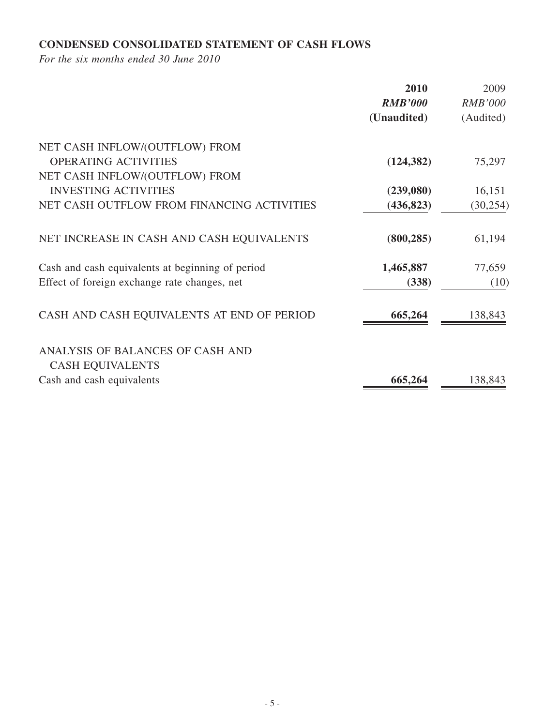# **CONDENSED CONSOLIDATED STATEMENT OF CASH FLOWS**

*For the six months ended 30 June 2010*

|                                                  | 2010           | 2009           |
|--------------------------------------------------|----------------|----------------|
|                                                  | <b>RMB'000</b> | <b>RMB'000</b> |
|                                                  | (Unaudited)    | (Audited)      |
| NET CASH INFLOW/(OUTFLOW) FROM                   |                |                |
| <b>OPERATING ACTIVITIES</b>                      | (124, 382)     | 75,297         |
| NET CASH INFLOW/(OUTFLOW) FROM                   |                |                |
| <b>INVESTING ACTIVITIES</b>                      | (239,080)      | 16,151         |
| NET CASH OUTFLOW FROM FINANCING ACTIVITIES       | (436, 823)     | (30, 254)      |
| NET INCREASE IN CASH AND CASH EQUIVALENTS        | (800, 285)     | 61,194         |
| Cash and cash equivalents at beginning of period | 1,465,887      | 77,659         |
| Effect of foreign exchange rate changes, net     | (338)          | (10)           |
| CASH AND CASH EQUIVALENTS AT END OF PERIOD       | 665,264        | 138,843        |
| ANALYSIS OF BALANCES OF CASH AND                 |                |                |
| <b>CASH EQUIVALENTS</b>                          |                |                |
| Cash and cash equivalents                        | 665,264        | 138,843        |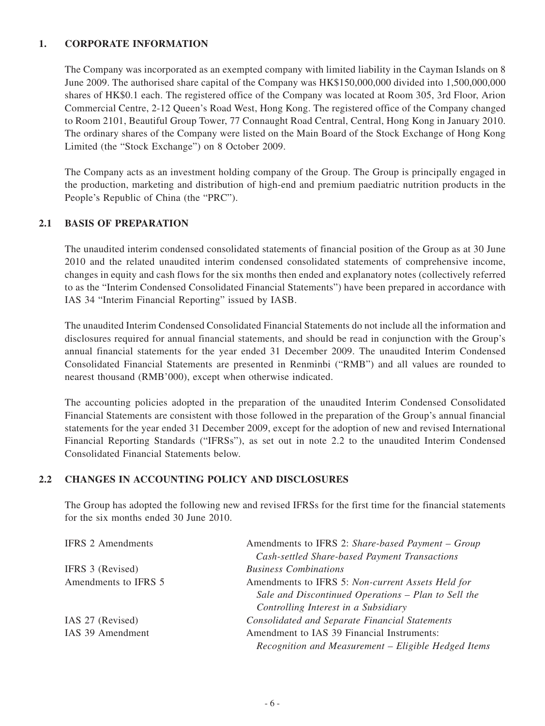#### **1. CORPORATE INFORMATION**

The Company was incorporated as an exempted company with limited liability in the Cayman Islands on 8 June 2009. The authorised share capital of the Company was HK\$150,000,000 divided into 1,500,000,000 shares of HK\$0.1 each. The registered office of the Company was located at Room 305, 3rd Floor, Arion Commercial Centre, 2-12 Queen's Road West, Hong Kong. The registered office of the Company changed to Room 2101, Beautiful Group Tower, 77 Connaught Road Central, Central, Hong Kong in January 2010. The ordinary shares of the Company were listed on the Main Board of the Stock Exchange of Hong Kong Limited (the "Stock Exchange") on 8 October 2009.

The Company acts as an investment holding company of the Group. The Group is principally engaged in the production, marketing and distribution of high-end and premium paediatric nutrition products in the People's Republic of China (the "PRC").

#### **2.1 BASIS OF PREPARATION**

The unaudited interim condensed consolidated statements of financial position of the Group as at 30 June 2010 and the related unaudited interim condensed consolidated statements of comprehensive income, changes in equity and cash flows for the six months then ended and explanatory notes (collectively referred to as the "Interim Condensed Consolidated Financial Statements") have been prepared in accordance with IAS 34 "Interim Financial Reporting" issued by IASB.

The unaudited Interim Condensed Consolidated Financial Statements do not include all the information and disclosures required for annual financial statements, and should be read in conjunction with the Group's annual financial statements for the year ended 31 December 2009. The unaudited Interim Condensed Consolidated Financial Statements are presented in Renminbi ("RMB") and all values are rounded to nearest thousand (RMB'000), except when otherwise indicated.

The accounting policies adopted in the preparation of the unaudited Interim Condensed Consolidated Financial Statements are consistent with those followed in the preparation of the Group's annual financial statements for the year ended 31 December 2009, except for the adoption of new and revised International Financial Reporting Standards ("IFRSs"), as set out in note 2.2 to the unaudited Interim Condensed Consolidated Financial Statements below.

#### **2.2 CHANGES IN ACCOUNTING POLICY AND DISCLOSURES**

The Group has adopted the following new and revised IFRSs for the first time for the financial statements for the six months ended 30 June 2010.

| <b>IFRS 2 Amendments</b> | Amendments to IFRS 2: Share-based Payment - Group     |
|--------------------------|-------------------------------------------------------|
|                          | Cash-settled Share-based Payment Transactions         |
| IFRS 3 (Revised)         | <b>Business Combinations</b>                          |
| Amendments to IFRS 5     | Amendments to IFRS 5: Non-current Assets Held for     |
|                          | Sale and Discontinued Operations - Plan to Sell the   |
|                          | Controlling Interest in a Subsidiary                  |
| IAS 27 (Revised)         | <b>Consolidated and Separate Financial Statements</b> |
| IAS 39 Amendment         | Amendment to IAS 39 Financial Instruments:            |
|                          | Recognition and Measurement – Eligible Hedged Items   |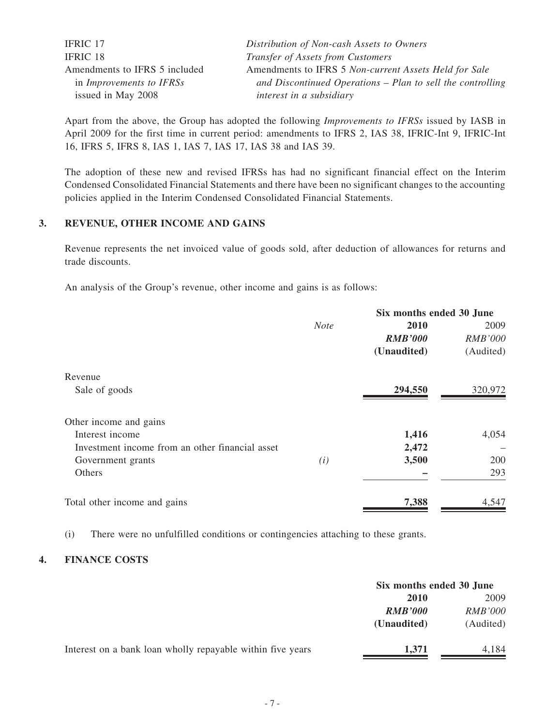| <b>IFRIC 17</b>                 | Distribution of Non-cash Assets to Owners                    |
|---------------------------------|--------------------------------------------------------------|
| IFRIC 18                        | Transfer of Assets from Customers                            |
| Amendments to IFRS 5 included   | Amendments to IFRS 5 Non-current Assets Held for Sale        |
| in <i>Improvements to IFRSs</i> | and Discontinued Operations $-$ Plan to sell the controlling |
| issued in May 2008              | interest in a subsidiary                                     |

Apart from the above, the Group has adopted the following *Improvements to IFRSs* issued by IASB in April 2009 for the first time in current period: amendments to IFRS 2, IAS 38, IFRIC-Int 9, IFRIC-Int 16, IFRS 5, IFRS 8, IAS 1, IAS 7, IAS 17, IAS 38 and IAS 39.

The adoption of these new and revised IFRSs has had no significant financial effect on the Interim Condensed Consolidated Financial Statements and there have been no significant changes to the accounting policies applied in the Interim Condensed Consolidated Financial Statements.

#### **3. REVENUE, OTHER INCOME AND GAINS**

Revenue represents the net invoiced value of goods sold, after deduction of allowances for returns and trade discounts.

An analysis of the Group's revenue, other income and gains is as follows:

|             | Six months ended 30 June |                |  |  |
|-------------|--------------------------|----------------|--|--|
| <b>Note</b> | 2010                     | 2009           |  |  |
|             | <b>RMB'000</b>           | <b>RMB'000</b> |  |  |
|             | (Unaudited)              | (Audited)      |  |  |
|             |                          |                |  |  |
|             | 294,550                  | 320,972        |  |  |
|             |                          |                |  |  |
|             | 1,416                    | 4,054          |  |  |
|             | 2,472                    |                |  |  |
| (i)         | 3,500                    | 200            |  |  |
|             |                          | 293            |  |  |
|             | 7,388                    | 4,547          |  |  |
|             |                          |                |  |  |

(i) There were no unfulfilled conditions or contingencies attaching to these grants.

#### **4. FINANCE COSTS**

|                                                            | Six months ended 30 June         |           |  |
|------------------------------------------------------------|----------------------------------|-----------|--|
|                                                            | 2010                             |           |  |
|                                                            | <i>RMB'000</i><br><b>RMB'000</b> |           |  |
|                                                            | (Unaudited)                      | (Audited) |  |
| Interest on a bank loan wholly repayable within five years | 1,371                            | 4,184     |  |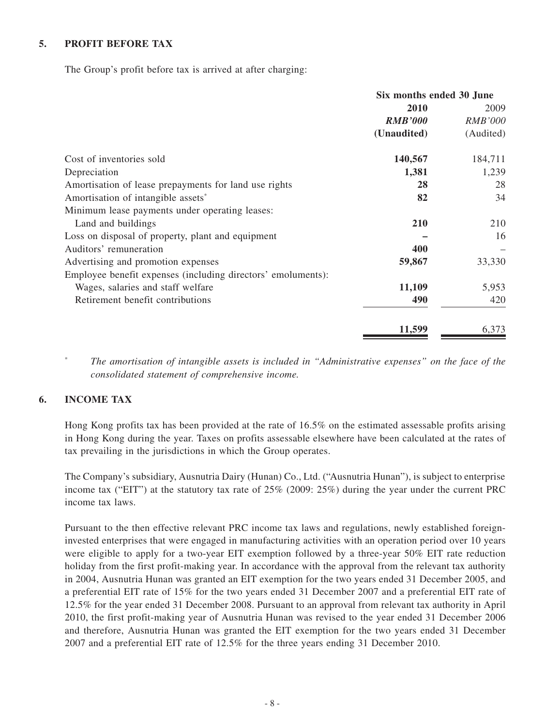#### **5. PROFIT BEFORE TAX**

The Group's profit before tax is arrived at after charging:

|                                                              | Six months ended 30 June |                |  |
|--------------------------------------------------------------|--------------------------|----------------|--|
|                                                              | 2010                     | 2009           |  |
|                                                              | <b>RMB'000</b>           | <b>RMB'000</b> |  |
|                                                              | (Unaudited)              | (Audited)      |  |
| Cost of inventories sold                                     | 140,567                  | 184,711        |  |
| Depreciation                                                 | 1,381                    | 1,239          |  |
| Amortisation of lease prepayments for land use rights        | 28                       | 28             |  |
| Amortisation of intangible assets <sup>*</sup>               | 82                       | 34             |  |
| Minimum lease payments under operating leases:               |                          |                |  |
| Land and buildings                                           | 210                      | 210            |  |
| Loss on disposal of property, plant and equipment            |                          | 16             |  |
| Auditors' remuneration                                       | 400                      |                |  |
| Advertising and promotion expenses                           | 59,867                   | 33,330         |  |
| Employee benefit expenses (including directors' emoluments): |                          |                |  |
| Wages, salaries and staff welfare                            | 11,109                   | 5,953          |  |
| Retirement benefit contributions                             | 490                      | 420            |  |
|                                                              | 11,599                   | 6,373          |  |

\* *The amortisation of intangible assets is included in "Administrative expenses" on the face of the consolidated statement of comprehensive income.*

#### **6. INCOME TAX**

Hong Kong profits tax has been provided at the rate of 16.5% on the estimated assessable profits arising in Hong Kong during the year. Taxes on profits assessable elsewhere have been calculated at the rates of tax prevailing in the jurisdictions in which the Group operates.

The Company's subsidiary, Ausnutria Dairy (Hunan) Co., Ltd. ("Ausnutria Hunan"), is subject to enterprise income tax ("EIT") at the statutory tax rate of 25% (2009: 25%) during the year under the current PRC income tax laws.

Pursuant to the then effective relevant PRC income tax laws and regulations, newly established foreigninvested enterprises that were engaged in manufacturing activities with an operation period over 10 years were eligible to apply for a two-year EIT exemption followed by a three-year 50% EIT rate reduction holiday from the first profit-making year. In accordance with the approval from the relevant tax authority in 2004, Ausnutria Hunan was granted an EIT exemption for the two years ended 31 December 2005, and a preferential EIT rate of 15% for the two years ended 31 December 2007 and a preferential EIT rate of 12.5% for the year ended 31 December 2008. Pursuant to an approval from relevant tax authority in April 2010, the first profit-making year of Ausnutria Hunan was revised to the year ended 31 December 2006 and therefore, Ausnutria Hunan was granted the EIT exemption for the two years ended 31 December 2007 and a preferential EIT rate of 12.5% for the three years ending 31 December 2010.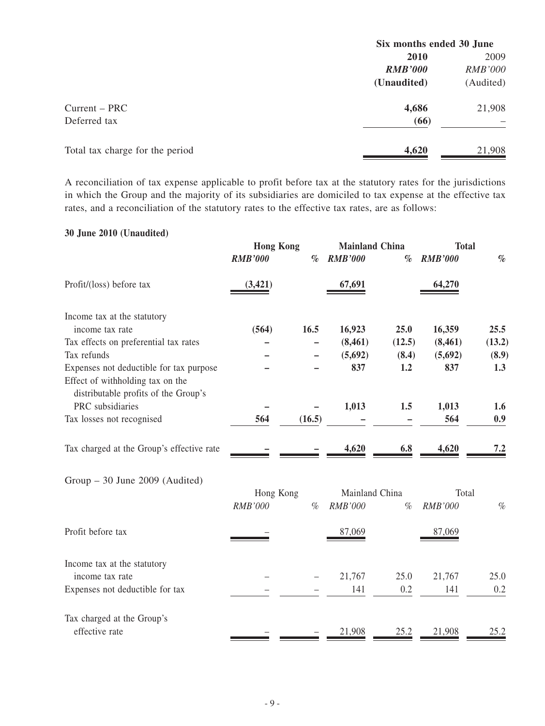|                                 | Six months ended 30 June |                |  |
|---------------------------------|--------------------------|----------------|--|
|                                 | <b>2010</b>              | 2009           |  |
|                                 | <b>RMB'000</b>           | <i>RMB'000</i> |  |
|                                 | (Unaudited)              | (Audited)      |  |
| $Current - PRC$                 | 4,686                    | 21,908         |  |
| Deferred tax                    | (66)                     |                |  |
| Total tax charge for the period | 4,620                    | 21,908         |  |

A reconciliation of tax expense applicable to profit before tax at the statutory rates for the jurisdictions in which the Group and the majority of its subsidiaries are domiciled to tax expense at the effective tax rates, and a reconciliation of the statutory rates to the effective tax rates, are as follows:

### **30 June 2010 (Unaudited)**

|                                                                          | <b>Hong Kong</b> |        | <b>Mainland China</b> |        | <b>Total</b>   |        |
|--------------------------------------------------------------------------|------------------|--------|-----------------------|--------|----------------|--------|
|                                                                          | <b>RMB'000</b>   | $\%$   | <b>RMB'000</b>        | $\%$   | <b>RMB'000</b> | $\%$   |
| Profit/(loss) before tax                                                 | (3, 421)         |        | 67,691                |        | 64,270         |        |
| Income tax at the statutory                                              |                  |        |                       |        |                |        |
| income tax rate                                                          | (564)            | 16.5   | 16,923                | 25.0   | 16,359         | 25.5   |
| Tax effects on preferential tax rates                                    |                  |        | (8, 461)              | (12.5) | (8, 461)       | (13.2) |
| Tax refunds                                                              |                  |        | (5,692)               | (8.4)  | (5,692)        | (8.9)  |
| Expenses not deductible for tax purpose                                  |                  |        | 837                   | 1.2    | 837            | 1.3    |
| Effect of withholding tax on the<br>distributable profits of the Group's |                  |        |                       |        |                |        |
| PRC subsidiaries                                                         |                  |        | 1,013                 | 1.5    | 1,013          | 1.6    |
| Tax losses not recognised                                                | 564              | (16.5) |                       |        | 564            | 0.9    |
| Tax charged at the Group's effective rate                                |                  |        | 4,620                 | 6.8    | 4,620          | 7.2    |
| $Group - 30$ June 2009 (Audited)                                         |                  |        |                       |        |                |        |
|                                                                          | Hong Kong        |        | Mainland China        |        | Total          |        |
|                                                                          | <b>RMB'000</b>   | $\%$   | RMB'000               | $\%$   | <b>RMB'000</b> | $\%$   |
| Profit before tax                                                        |                  |        | 87,069                |        | 87.069         |        |
| Income tax at the statutory                                              |                  |        |                       |        |                |        |
| income tax rate                                                          |                  |        | 21,767                | 25.0   | 21,767         | 25.0   |
| Expenses not deductible for tax                                          |                  |        | 141                   | 0.2    | 141            | 0.2    |
| Tax charged at the Group's<br>effective rate                             |                  |        |                       |        |                |        |
|                                                                          |                  |        | 21,908                | 25.2   | 21,908         | 25.2   |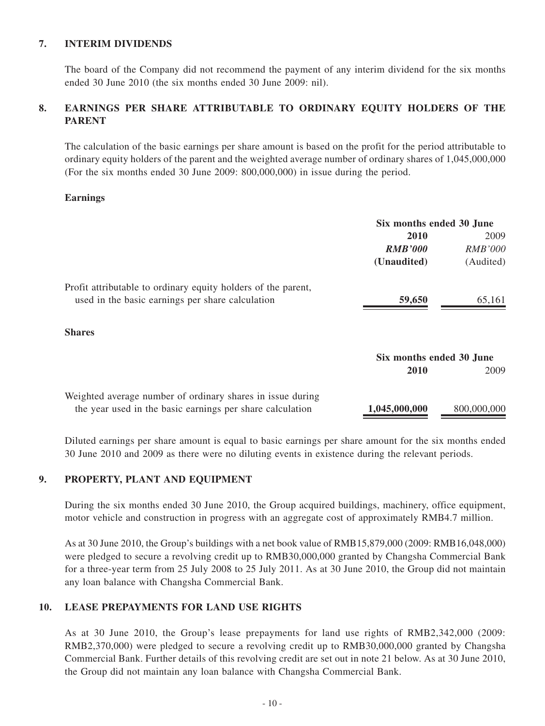#### **7. INTERIM DIVIDENDS**

The board of the Company did not recommend the payment of any interim dividend for the six months ended 30 June 2010 (the six months ended 30 June 2009: nil).

### **8. EARNINGS PER SHARE ATTRIBUTABLE TO ORDINARY EQUITY HOLDERS OF THE PARENT**

The calculation of the basic earnings per share amount is based on the profit for the period attributable to ordinary equity holders of the parent and the weighted average number of ordinary shares of 1,045,000,000 (For the six months ended 30 June 2009: 800,000,000) in issue during the period.

#### **Earnings**

|                                                                                                                   | Six months ended 30 June |                |  |
|-------------------------------------------------------------------------------------------------------------------|--------------------------|----------------|--|
|                                                                                                                   | 2010                     | 2009           |  |
|                                                                                                                   | <b>RMB'000</b>           | <i>RMB'000</i> |  |
|                                                                                                                   | (Unaudited)              | (Audited)      |  |
| Profit attributable to ordinary equity holders of the parent,<br>used in the basic earnings per share calculation | 59,650                   | 65,161         |  |
|                                                                                                                   |                          |                |  |
| <b>Shares</b>                                                                                                     |                          |                |  |
|                                                                                                                   | Six months ended 30 June |                |  |
|                                                                                                                   | 2010                     | 2009           |  |
| Weighted average number of ordinary shares in issue during                                                        |                          |                |  |
| the year used in the basic earnings per share calculation                                                         | 1,045,000,000            | 800,000,000    |  |

Diluted earnings per share amount is equal to basic earnings per share amount for the six months ended 30 June 2010 and 2009 as there were no diluting events in existence during the relevant periods.

#### **9. PROPERTY, PLANT AND EQUIPMENT**

During the six months ended 30 June 2010, the Group acquired buildings, machinery, office equipment, motor vehicle and construction in progress with an aggregate cost of approximately RMB4.7 million.

As at 30 June 2010, the Group's buildings with a net book value of RMB15,879,000 (2009: RMB16,048,000) were pledged to secure a revolving credit up to RMB30,000,000 granted by Changsha Commercial Bank for a three-year term from 25 July 2008 to 25 July 2011. As at 30 June 2010, the Group did not maintain any loan balance with Changsha Commercial Bank.

#### **10. LEASE PREPAYMENTS FOR LAND USE RIGHTS**

As at 30 June 2010, the Group's lease prepayments for land use rights of RMB2,342,000 (2009: RMB2,370,000) were pledged to secure a revolving credit up to RMB30,000,000 granted by Changsha Commercial Bank. Further details of this revolving credit are set out in note 21 below. As at 30 June 2010, the Group did not maintain any loan balance with Changsha Commercial Bank.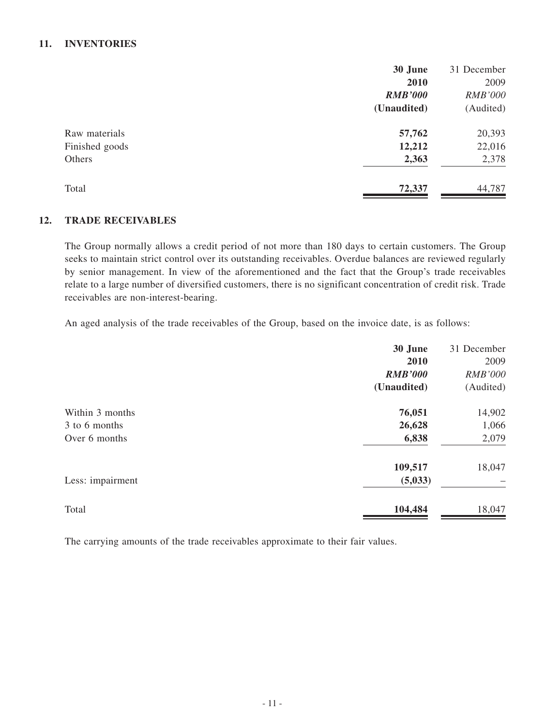#### **11. INVENTORIES**

|                | 30 June        | 31 December    |
|----------------|----------------|----------------|
|                | 2010           | 2009           |
|                | <b>RMB'000</b> | <b>RMB'000</b> |
|                | (Unaudited)    | (Audited)      |
| Raw materials  | 57,762         | 20,393         |
| Finished goods | 12,212         | 22,016         |
| Others         | 2,363          | 2,378          |
| Total          | 72,337         | 44,787         |

#### **12. TRADE RECEIVABLES**

The Group normally allows a credit period of not more than 180 days to certain customers. The Group seeks to maintain strict control over its outstanding receivables. Overdue balances are reviewed regularly by senior management. In view of the aforementioned and the fact that the Group's trade receivables relate to a large number of diversified customers, there is no significant concentration of credit risk. Trade receivables are non-interest-bearing.

An aged analysis of the trade receivables of the Group, based on the invoice date, is as follows:

| 30 June        | 31 December    |
|----------------|----------------|
| 2010           | 2009           |
| <b>RMB'000</b> | <b>RMB'000</b> |
| (Unaudited)    | (Audited)      |
| 76,051         | 14,902         |
| 26,628         | 1,066          |
| 6,838          | 2,079          |
| 109,517        | 18,047         |
| (5,033)        |                |
| 104,484        | 18,047         |
|                |                |

The carrying amounts of the trade receivables approximate to their fair values.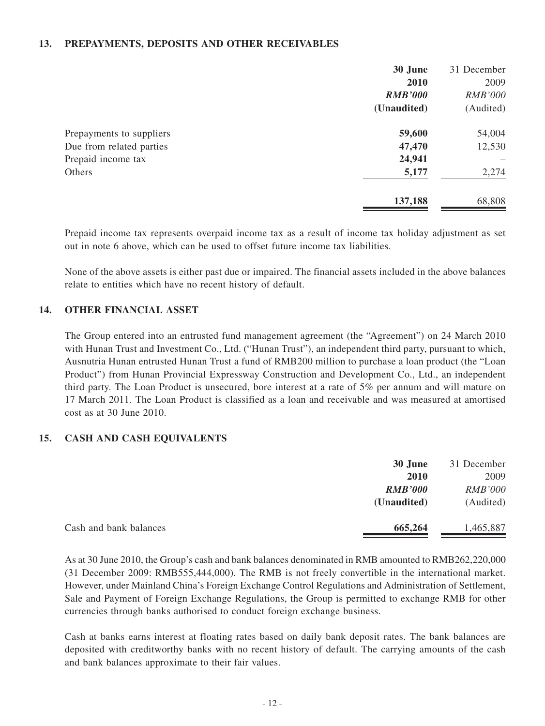#### **13. PREPAYMENTS, DEPOSITS AND OTHER RECEIVABLES**

|                          | 30 June<br>2010<br><b>RMB'000</b><br>(Unaudited) | 31 December<br>2009<br><b>RMB'000</b><br>(Audited) |
|--------------------------|--------------------------------------------------|----------------------------------------------------|
|                          |                                                  |                                                    |
| Prepayments to suppliers | 59,600                                           | 54,004                                             |
| Due from related parties | 47,470                                           | 12,530                                             |
| Prepaid income tax       | 24,941                                           |                                                    |
| Others                   | 5,177                                            | 2,274                                              |
|                          | 137,188                                          | 68,808                                             |

Prepaid income tax represents overpaid income tax as a result of income tax holiday adjustment as set out in note 6 above, which can be used to offset future income tax liabilities.

None of the above assets is either past due or impaired. The financial assets included in the above balances relate to entities which have no recent history of default.

#### **14. OTHER FINANCIAL ASSET**

The Group entered into an entrusted fund management agreement (the "Agreement") on 24 March 2010 with Hunan Trust and Investment Co., Ltd. ("Hunan Trust"), an independent third party, pursuant to which, Ausnutria Hunan entrusted Hunan Trust a fund of RMB200 million to purchase a loan product (the "Loan Product") from Hunan Provincial Expressway Construction and Development Co., Ltd., an independent third party. The Loan Product is unsecured, bore interest at a rate of 5% per annum and will mature on 17 March 2011. The Loan Product is classified as a loan and receivable and was measured at amortised cost as at 30 June 2010.

#### **15. CASH AND CASH EQUIVALENTS**

|                        | 30 June        | 31 December    |
|------------------------|----------------|----------------|
|                        | <b>2010</b>    | 2009           |
|                        | <b>RMB'000</b> | <b>RMB'000</b> |
|                        | (Unaudited)    | (Audited)      |
| Cash and bank balances | 665,264        | 1,465,887      |

As at 30 June 2010, the Group's cash and bank balances denominated in RMB amounted to RMB262,220,000 (31 December 2009: RMB555,444,000). The RMB is not freely convertible in the international market. However, under Mainland China's Foreign Exchange Control Regulations and Administration of Settlement, Sale and Payment of Foreign Exchange Regulations, the Group is permitted to exchange RMB for other currencies through banks authorised to conduct foreign exchange business.

Cash at banks earns interest at floating rates based on daily bank deposit rates. The bank balances are deposited with creditworthy banks with no recent history of default. The carrying amounts of the cash and bank balances approximate to their fair values.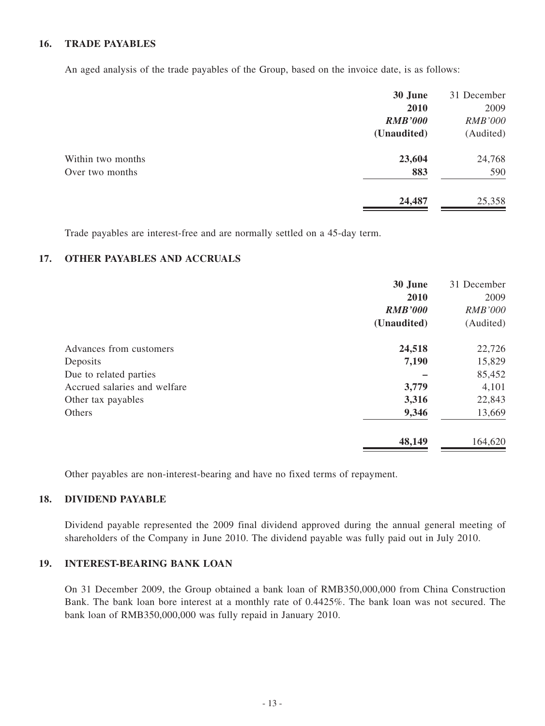#### **16. TRADE PAYABLES**

An aged analysis of the trade payables of the Group, based on the invoice date, is as follows:

|                   | 30 June        | 31 December    |
|-------------------|----------------|----------------|
|                   | 2010           | 2009           |
|                   | <b>RMB'000</b> | <b>RMB'000</b> |
|                   | (Unaudited)    | (Audited)      |
| Within two months | 23,604         | 24,768         |
| Over two months   | 883            | 590            |
|                   | 24,487         | 25,358         |

Trade payables are interest-free and are normally settled on a 45-day term.

### **17. OTHER PAYABLES AND ACCRUALS**

|                              | 30 June        | 31 December    |
|------------------------------|----------------|----------------|
|                              | 2010           | 2009           |
|                              | <b>RMB'000</b> | <b>RMB'000</b> |
|                              | (Unaudited)    | (Audited)      |
| Advances from customers      | 24,518         | 22,726         |
| Deposits                     | 7,190          | 15,829         |
| Due to related parties       |                | 85,452         |
| Accrued salaries and welfare | 3,779          | 4,101          |
| Other tax payables           | 3,316          | 22,843         |
| Others                       | 9,346          | 13,669         |
|                              | 48,149         | 164,620        |

Other payables are non-interest-bearing and have no fixed terms of repayment.

#### **18. DIVIDEND PAYABLE**

Dividend payable represented the 2009 final dividend approved during the annual general meeting of shareholders of the Company in June 2010. The dividend payable was fully paid out in July 2010.

#### **19. INTEREST-BEARING BANK LOAN**

On 31 December 2009, the Group obtained a bank loan of RMB350,000,000 from China Construction Bank. The bank loan bore interest at a monthly rate of 0.4425%. The bank loan was not secured. The bank loan of RMB350,000,000 was fully repaid in January 2010.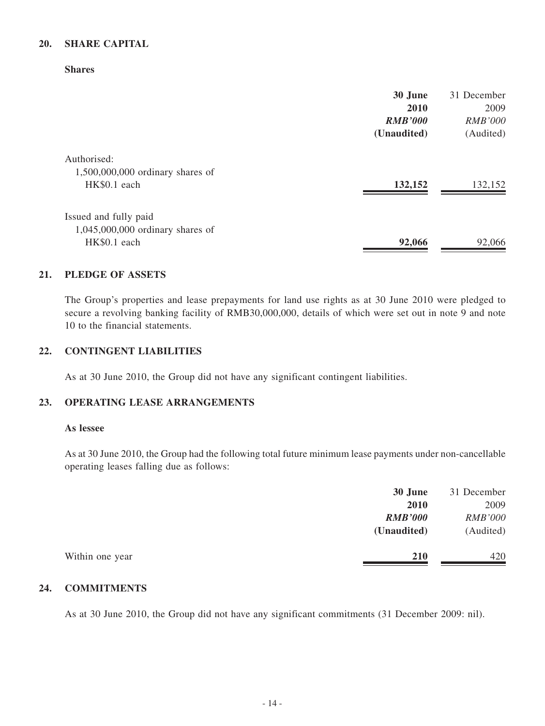#### **20. SHARE CAPITAL**

**Shares**

|                                    | 30 June        | 31 December    |
|------------------------------------|----------------|----------------|
|                                    | 2010           | 2009           |
|                                    | <b>RMB'000</b> | <i>RMB'000</i> |
|                                    | (Unaudited)    | (Audited)      |
| Authorised:                        |                |                |
| $1,500,000,000$ ordinary shares of |                |                |
| HK\$0.1 each                       | 132,152        | 132,152        |
| Issued and fully paid              |                |                |
| 1,045,000,000 ordinary shares of   |                |                |
| HK\$0.1 each                       | 92,066         | 92,066         |

#### **21. PLEDGE OF ASSETS**

The Group's properties and lease prepayments for land use rights as at 30 June 2010 were pledged to secure a revolving banking facility of RMB30,000,000, details of which were set out in note 9 and note 10 to the financial statements.

#### **22. CONTINGENT LIABILITIES**

As at 30 June 2010, the Group did not have any significant contingent liabilities.

#### **23. OPERATING LEASE ARRANGEMENTS**

#### **As lessee**

As at 30 June 2010, the Group had the following total future minimum lease payments under non-cancellable operating leases falling due as follows:

|                 | 30 June        | 31 December    |
|-----------------|----------------|----------------|
|                 | <b>2010</b>    | 2009           |
|                 | <b>RMB'000</b> | <b>RMB'000</b> |
|                 | (Unaudited)    | (Audited)      |
| Within one year | <b>210</b>     | 420            |

#### **24. COMMITMENTS**

As at 30 June 2010, the Group did not have any significant commitments (31 December 2009: nil).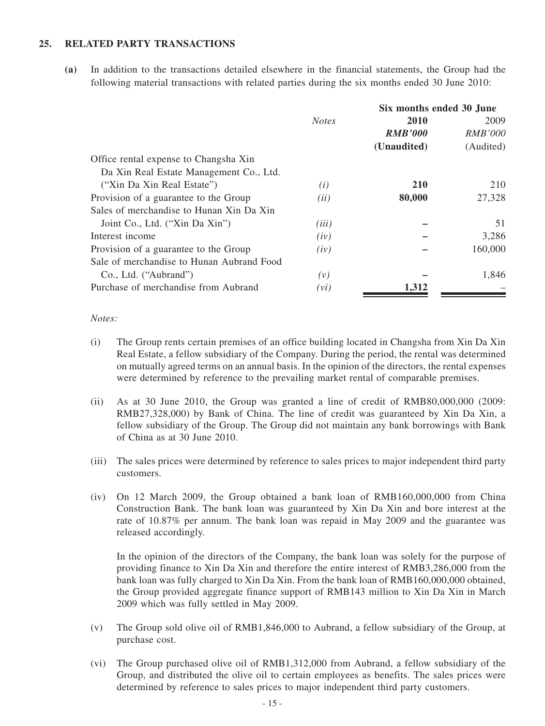#### **25. RELATED PARTY TRANSACTIONS**

**(a)** In addition to the transactions detailed elsewhere in the financial statements, the Group had the following material transactions with related parties during the six months ended 30 June 2010:

|                                           |              | Six months ended 30 June |                |
|-------------------------------------------|--------------|--------------------------|----------------|
|                                           | <b>Notes</b> | <b>2010</b>              | 2009           |
|                                           |              | <b>RMB'000</b>           | <i>RMB'000</i> |
|                                           |              | (Unaudited)              | (Audited)      |
| Office rental expense to Changsha Xin     |              |                          |                |
| Da Xin Real Estate Management Co., Ltd.   |              |                          |                |
| ("Xin Da Xin Real Estate")                | (i)          | <b>210</b>               | 210            |
| Provision of a guarantee to the Group     | (ii)         | 80,000                   | 27,328         |
| Sales of merchandise to Hunan Xin Da Xin  |              |                          |                |
| Joint Co., Ltd. ("Xin Da Xin")            | (iii)        |                          | 51             |
| Interest income                           | (iv)         |                          | 3,286          |
| Provision of a guarantee to the Group     | (iv)         |                          | 160,000        |
| Sale of merchandise to Hunan Aubrand Food |              |                          |                |
| Co., Ltd. ("Aubrand")                     | (v)          |                          | 1,846          |
| Purchase of merchandise from Aubrand      | (vi)         | 1,312                    |                |
|                                           |              |                          |                |

#### *Notes:*

- (i) The Group rents certain premises of an office building located in Changsha from Xin Da Xin Real Estate, a fellow subsidiary of the Company. During the period, the rental was determined on mutually agreed terms on an annual basis. In the opinion of the directors, the rental expenses were determined by reference to the prevailing market rental of comparable premises.
- (ii) As at 30 June 2010, the Group was granted a line of credit of RMB80,000,000 (2009: RMB27,328,000) by Bank of China. The line of credit was guaranteed by Xin Da Xin, a fellow subsidiary of the Group. The Group did not maintain any bank borrowings with Bank of China as at 30 June 2010.
- (iii) The sales prices were determined by reference to sales prices to major independent third party customers.
- (iv) On 12 March 2009, the Group obtained a bank loan of RMB160,000,000 from China Construction Bank. The bank loan was guaranteed by Xin Da Xin and bore interest at the rate of 10.87% per annum. The bank loan was repaid in May 2009 and the guarantee was released accordingly.

In the opinion of the directors of the Company, the bank loan was solely for the purpose of providing finance to Xin Da Xin and therefore the entire interest of RMB3,286,000 from the bank loan was fully charged to Xin Da Xin. From the bank loan of RMB160,000,000 obtained, the Group provided aggregate finance support of RMB143 million to Xin Da Xin in March 2009 which was fully settled in May 2009.

- (v) The Group sold olive oil of RMB1,846,000 to Aubrand, a fellow subsidiary of the Group, at purchase cost.
- (vi) The Group purchased olive oil of RMB1,312,000 from Aubrand, a fellow subsidiary of the Group, and distributed the olive oil to certain employees as benefits. The sales prices were determined by reference to sales prices to major independent third party customers.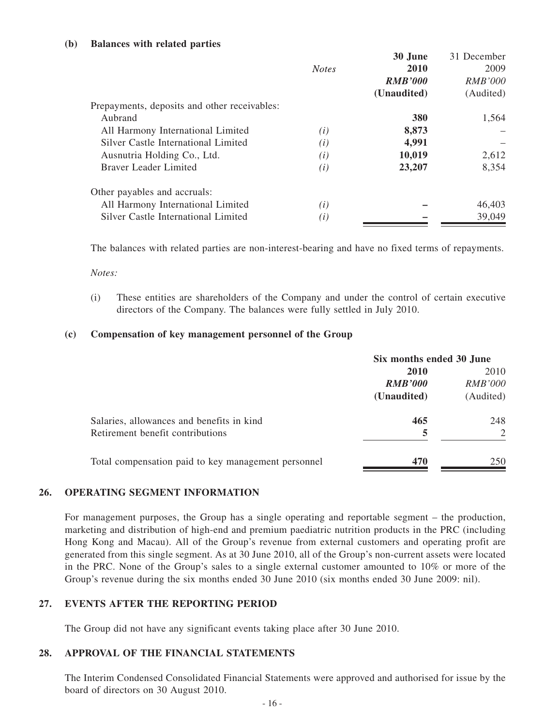#### **(b) Balances with related parties**

|                                              |              | 30 June        | 31 December    |
|----------------------------------------------|--------------|----------------|----------------|
|                                              | <b>Notes</b> | 2010           | 2009           |
|                                              |              | <b>RMB'000</b> | <b>RMB'000</b> |
|                                              |              | (Unaudited)    | (Audited)      |
| Prepayments, deposits and other receivables: |              |                |                |
| Aubrand                                      |              | <b>380</b>     | 1,564          |
| All Harmony International Limited            | (i)          | 8,873          |                |
| Silver Castle International Limited          | (i)          | 4,991          |                |
| Ausnutria Holding Co., Ltd.                  | (i)          | 10,019         | 2,612          |
| <b>Braver Leader Limited</b>                 | (i)          | 23,207         | 8,354          |
| Other payables and accruals:                 |              |                |                |
| All Harmony International Limited            | (i)          |                | 46,403         |
| Silver Castle International Limited          | (i)          |                | 39,049         |

The balances with related parties are non-interest-bearing and have no fixed terms of repayments.

*Notes:*

(i) These entities are shareholders of the Company and under the control of certain executive directors of the Company. The balances were fully settled in July 2010.

#### **(c) Compensation of key management personnel of the Group**

|                                                     | Six months ended 30 June |                |
|-----------------------------------------------------|--------------------------|----------------|
|                                                     | 2010<br>2010             |                |
|                                                     | <b>RMB'000</b>           | <i>RMB'000</i> |
|                                                     | (Unaudited)              | (Audited)      |
| Salaries, allowances and benefits in kind           | 465                      | 248            |
| Retirement benefit contributions                    | 5                        |                |
| Total compensation paid to key management personnel | 470                      | 250            |

#### **26. OPERATING SEGMENT INFORMATION**

For management purposes, the Group has a single operating and reportable segment – the production, marketing and distribution of high-end and premium paediatric nutrition products in the PRC (including Hong Kong and Macau). All of the Group's revenue from external customers and operating profit are generated from this single segment. As at 30 June 2010, all of the Group's non-current assets were located in the PRC. None of the Group's sales to a single external customer amounted to 10% or more of the Group's revenue during the six months ended 30 June 2010 (six months ended 30 June 2009: nil).

#### **27. EVENTS AFTER THE REPORTING PERIOD**

The Group did not have any significant events taking place after 30 June 2010.

#### **28. APPROVAL OF THE FINANCIAL STATEMENTS**

The Interim Condensed Consolidated Financial Statements were approved and authorised for issue by the board of directors on 30 August 2010.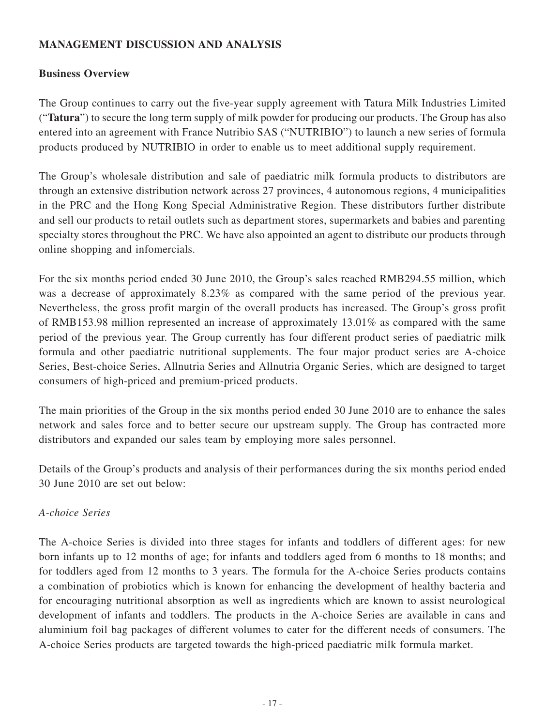### **MANAGEMENT DISCUSSION AND ANALYSIS**

### **Business Overview**

The Group continues to carry out the five-year supply agreement with Tatura Milk Industries Limited ("**Tatura**") to secure the long term supply of milk powder for producing our products. The Group has also entered into an agreement with France Nutribio SAS ("NUTRIBIO") to launch a new series of formula products produced by NUTRIBIO in order to enable us to meet additional supply requirement.

The Group's wholesale distribution and sale of paediatric milk formula products to distributors are through an extensive distribution network across 27 provinces, 4 autonomous regions, 4 municipalities in the PRC and the Hong Kong Special Administrative Region. These distributors further distribute and sell our products to retail outlets such as department stores, supermarkets and babies and parenting specialty stores throughout the PRC. We have also appointed an agent to distribute our products through online shopping and infomercials.

For the six months period ended 30 June 2010, the Group's sales reached RMB294.55 million, which was a decrease of approximately 8.23% as compared with the same period of the previous year. Nevertheless, the gross profit margin of the overall products has increased. The Group's gross profit of RMB153.98 million represented an increase of approximately 13.01% as compared with the same period of the previous year. The Group currently has four different product series of paediatric milk formula and other paediatric nutritional supplements. The four major product series are A-choice Series, Best-choice Series, Allnutria Series and Allnutria Organic Series, which are designed to target consumers of high-priced and premium-priced products.

The main priorities of the Group in the six months period ended 30 June 2010 are to enhance the sales network and sales force and to better secure our upstream supply. The Group has contracted more distributors and expanded our sales team by employing more sales personnel.

Details of the Group's products and analysis of their performances during the six months period ended 30 June 2010 are set out below:

### *A-choice Series*

The A-choice Series is divided into three stages for infants and toddlers of different ages: for new born infants up to 12 months of age; for infants and toddlers aged from 6 months to 18 months; and for toddlers aged from 12 months to 3 years. The formula for the A-choice Series products contains a combination of probiotics which is known for enhancing the development of healthy bacteria and for encouraging nutritional absorption as well as ingredients which are known to assist neurological development of infants and toddlers. The products in the A-choice Series are available in cans and aluminium foil bag packages of different volumes to cater for the different needs of consumers. The A-choice Series products are targeted towards the high-priced paediatric milk formula market.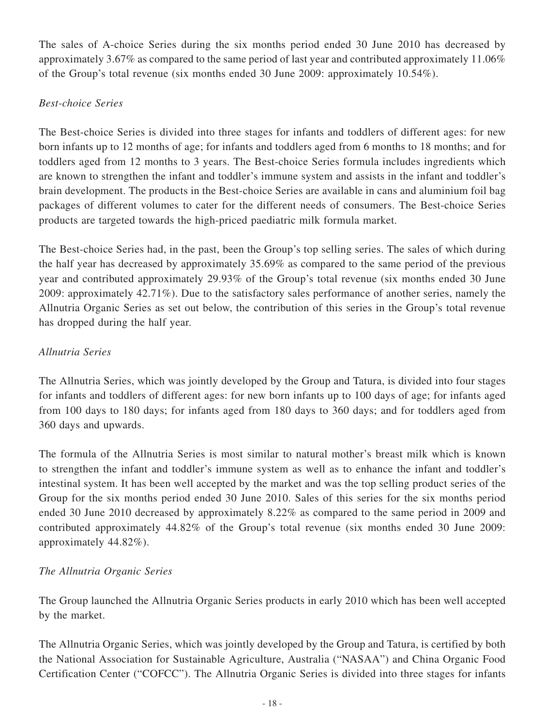The sales of A-choice Series during the six months period ended 30 June 2010 has decreased by approximately 3.67% as compared to the same period of last year and contributed approximately 11.06% of the Group's total revenue (six months ended 30 June 2009: approximately 10.54%).

### *Best-choice Series*

The Best-choice Series is divided into three stages for infants and toddlers of different ages: for new born infants up to 12 months of age; for infants and toddlers aged from 6 months to 18 months; and for toddlers aged from 12 months to 3 years. The Best-choice Series formula includes ingredients which are known to strengthen the infant and toddler's immune system and assists in the infant and toddler's brain development. The products in the Best-choice Series are available in cans and aluminium foil bag packages of different volumes to cater for the different needs of consumers. The Best-choice Series products are targeted towards the high-priced paediatric milk formula market.

The Best-choice Series had, in the past, been the Group's top selling series. The sales of which during the half year has decreased by approximately 35.69% as compared to the same period of the previous year and contributed approximately 29.93% of the Group's total revenue (six months ended 30 June 2009: approximately 42.71%). Due to the satisfactory sales performance of another series, namely the Allnutria Organic Series as set out below, the contribution of this series in the Group's total revenue has dropped during the half year.

### *Allnutria Series*

The Allnutria Series, which was jointly developed by the Group and Tatura, is divided into four stages for infants and toddlers of different ages: for new born infants up to 100 days of age; for infants aged from 100 days to 180 days; for infants aged from 180 days to 360 days; and for toddlers aged from 360 days and upwards.

The formula of the Allnutria Series is most similar to natural mother's breast milk which is known to strengthen the infant and toddler's immune system as well as to enhance the infant and toddler's intestinal system. It has been well accepted by the market and was the top selling product series of the Group for the six months period ended 30 June 2010. Sales of this series for the six months period ended 30 June 2010 decreased by approximately 8.22% as compared to the same period in 2009 and contributed approximately 44.82% of the Group's total revenue (six months ended 30 June 2009: approximately 44.82%).

## *The Allnutria Organic Series*

The Group launched the Allnutria Organic Series products in early 2010 which has been well accepted by the market.

The Allnutria Organic Series, which was jointly developed by the Group and Tatura, is certified by both the National Association for Sustainable Agriculture, Australia ("NASAA") and China Organic Food Certification Center ("COFCC"). The Allnutria Organic Series is divided into three stages for infants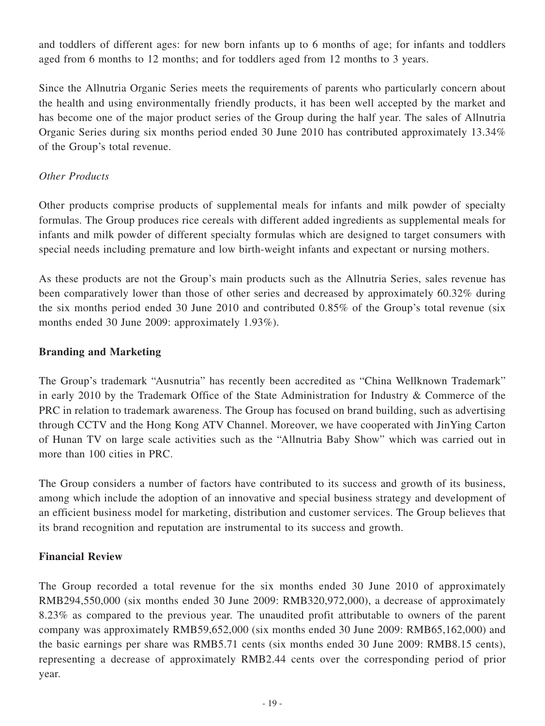and toddlers of different ages: for new born infants up to 6 months of age; for infants and toddlers aged from 6 months to 12 months; and for toddlers aged from 12 months to 3 years.

Since the Allnutria Organic Series meets the requirements of parents who particularly concern about the health and using environmentally friendly products, it has been well accepted by the market and has become one of the major product series of the Group during the half year. The sales of Allnutria Organic Series during six months period ended 30 June 2010 has contributed approximately 13.34% of the Group's total revenue.

### *Other Products*

Other products comprise products of supplemental meals for infants and milk powder of specialty formulas. The Group produces rice cereals with different added ingredients as supplemental meals for infants and milk powder of different specialty formulas which are designed to target consumers with special needs including premature and low birth-weight infants and expectant or nursing mothers.

As these products are not the Group's main products such as the Allnutria Series, sales revenue has been comparatively lower than those of other series and decreased by approximately 60.32% during the six months period ended 30 June 2010 and contributed 0.85% of the Group's total revenue (six months ended 30 June 2009: approximately 1.93%).

### **Branding and Marketing**

The Group's trademark "Ausnutria" has recently been accredited as "China Wellknown Trademark" in early 2010 by the Trademark Office of the State Administration for Industry & Commerce of the PRC in relation to trademark awareness. The Group has focused on brand building, such as advertising through CCTV and the Hong Kong ATV Channel. Moreover, we have cooperated with JinYing Carton of Hunan TV on large scale activities such as the "Allnutria Baby Show" which was carried out in more than 100 cities in PRC.

The Group considers a number of factors have contributed to its success and growth of its business, among which include the adoption of an innovative and special business strategy and development of an efficient business model for marketing, distribution and customer services. The Group believes that its brand recognition and reputation are instrumental to its success and growth.

### **Financial Review**

The Group recorded a total revenue for the six months ended 30 June 2010 of approximately RMB294,550,000 (six months ended 30 June 2009: RMB320,972,000), a decrease of approximately 8.23% as compared to the previous year. The unaudited profit attributable to owners of the parent company was approximately RMB59,652,000 (six months ended 30 June 2009: RMB65,162,000) and the basic earnings per share was RMB5.71 cents (six months ended 30 June 2009: RMB8.15 cents), representing a decrease of approximately RMB2.44 cents over the corresponding period of prior year.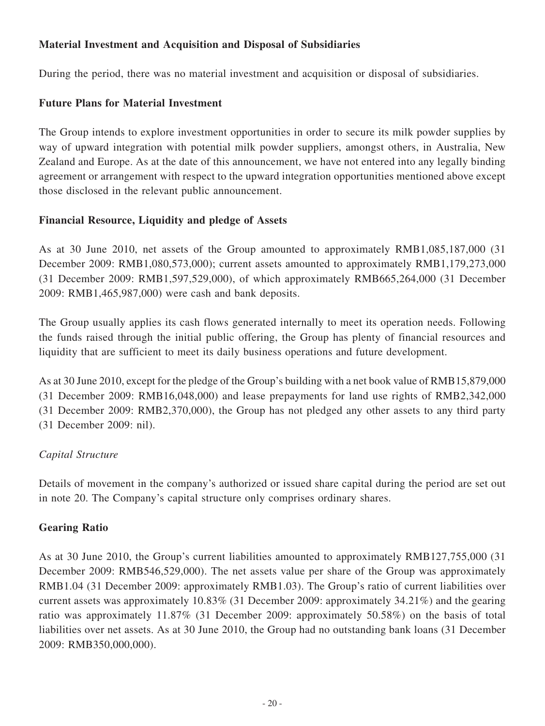### **Material Investment and Acquisition and Disposal of Subsidiaries**

During the period, there was no material investment and acquisition or disposal of subsidiaries.

### **Future Plans for Material Investment**

The Group intends to explore investment opportunities in order to secure its milk powder supplies by way of upward integration with potential milk powder suppliers, amongst others, in Australia, New Zealand and Europe. As at the date of this announcement, we have not entered into any legally binding agreement or arrangement with respect to the upward integration opportunities mentioned above except those disclosed in the relevant public announcement.

### **Financial Resource, Liquidity and pledge of Assets**

As at 30 June 2010, net assets of the Group amounted to approximately RMB1,085,187,000 (31 December 2009: RMB1,080,573,000); current assets amounted to approximately RMB1,179,273,000 (31 December 2009: RMB1,597,529,000), of which approximately RMB665,264,000 (31 December 2009: RMB1,465,987,000) were cash and bank deposits.

The Group usually applies its cash flows generated internally to meet its operation needs. Following the funds raised through the initial public offering, the Group has plenty of financial resources and liquidity that are sufficient to meet its daily business operations and future development.

As at 30 June 2010, except for the pledge of the Group's building with a net book value of RMB15,879,000 (31 December 2009: RMB16,048,000) and lease prepayments for land use rights of RMB2,342,000 (31 December 2009: RMB2,370,000), the Group has not pledged any other assets to any third party (31 December 2009: nil).

## *Capital Structure*

Details of movement in the company's authorized or issued share capital during the period are set out in note 20. The Company's capital structure only comprises ordinary shares.

## **Gearing Ratio**

As at 30 June 2010, the Group's current liabilities amounted to approximately RMB127,755,000 (31 December 2009: RMB546,529,000). The net assets value per share of the Group was approximately RMB1.04 (31 December 2009: approximately RMB1.03). The Group's ratio of current liabilities over current assets was approximately 10.83% (31 December 2009: approximately 34.21%) and the gearing ratio was approximately 11.87% (31 December 2009: approximately 50.58%) on the basis of total liabilities over net assets. As at 30 June 2010, the Group had no outstanding bank loans (31 December 2009: RMB350,000,000).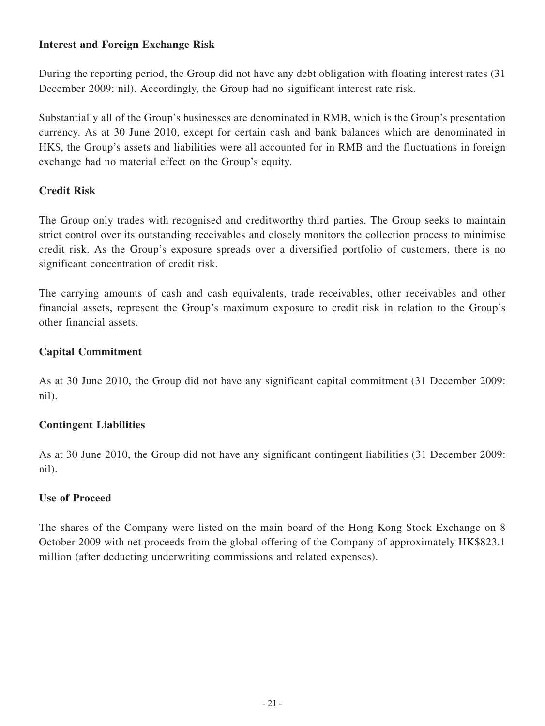### **Interest and Foreign Exchange Risk**

During the reporting period, the Group did not have any debt obligation with floating interest rates (31 December 2009: nil). Accordingly, the Group had no significant interest rate risk.

Substantially all of the Group's businesses are denominated in RMB, which is the Group's presentation currency. As at 30 June 2010, except for certain cash and bank balances which are denominated in HK\$, the Group's assets and liabilities were all accounted for in RMB and the fluctuations in foreign exchange had no material effect on the Group's equity.

### **Credit Risk**

The Group only trades with recognised and creditworthy third parties. The Group seeks to maintain strict control over its outstanding receivables and closely monitors the collection process to minimise credit risk. As the Group's exposure spreads over a diversified portfolio of customers, there is no significant concentration of credit risk.

The carrying amounts of cash and cash equivalents, trade receivables, other receivables and other financial assets, represent the Group's maximum exposure to credit risk in relation to the Group's other financial assets.

### **Capital Commitment**

As at 30 June 2010, the Group did not have any significant capital commitment (31 December 2009: nil).

### **Contingent Liabilities**

As at 30 June 2010, the Group did not have any significant contingent liabilities (31 December 2009: nil).

### **Use of Proceed**

The shares of the Company were listed on the main board of the Hong Kong Stock Exchange on 8 October 2009 with net proceeds from the global offering of the Company of approximately HK\$823.1 million (after deducting underwriting commissions and related expenses).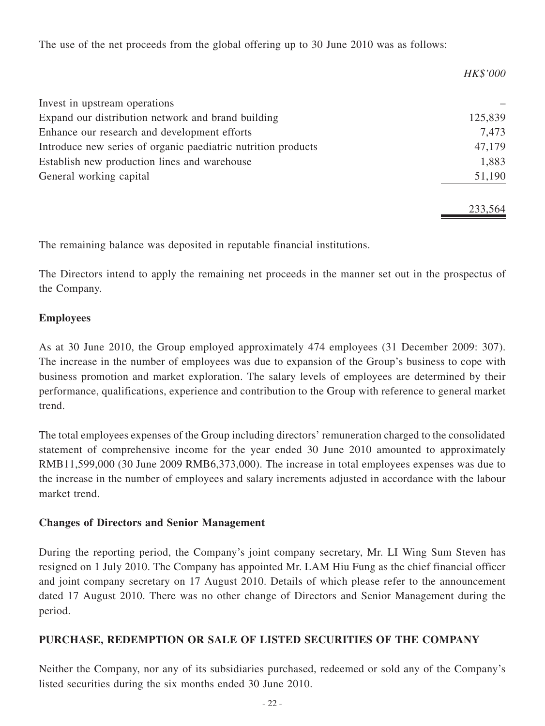The use of the net proceeds from the global offering up to 30 June 2010 was as follows:

|                                                               | <b>HK\$'000</b> |
|---------------------------------------------------------------|-----------------|
| Invest in upstream operations                                 |                 |
| Expand our distribution network and brand building            | 125,839         |
| Enhance our research and development efforts                  | 7,473           |
| Introduce new series of organic paediatric nutrition products | 47,179          |
| Establish new production lines and warehouse                  | 1,883           |
| General working capital                                       | 51,190          |
|                                                               | 233,564         |

The remaining balance was deposited in reputable financial institutions.

The Directors intend to apply the remaining net proceeds in the manner set out in the prospectus of the Company.

### **Employees**

As at 30 June 2010, the Group employed approximately 474 employees (31 December 2009: 307). The increase in the number of employees was due to expansion of the Group's business to cope with business promotion and market exploration. The salary levels of employees are determined by their performance, qualifications, experience and contribution to the Group with reference to general market trend.

The total employees expenses of the Group including directors' remuneration charged to the consolidated statement of comprehensive income for the year ended 30 June 2010 amounted to approximately RMB11,599,000 (30 June 2009 RMB6,373,000). The increase in total employees expenses was due to the increase in the number of employees and salary increments adjusted in accordance with the labour market trend.

### **Changes of Directors and Senior Management**

During the reporting period, the Company's joint company secretary, Mr. LI Wing Sum Steven has resigned on 1 July 2010. The Company has appointed Mr. LAM Hiu Fung as the chief financial officer and joint company secretary on 17 August 2010. Details of which please refer to the announcement dated 17 August 2010. There was no other change of Directors and Senior Management during the period.

### **PURCHASE, REDEMPTION OR SALE OF LISTED SECURITIES OF THE COMPANY**

Neither the Company, nor any of its subsidiaries purchased, redeemed or sold any of the Company's listed securities during the six months ended 30 June 2010.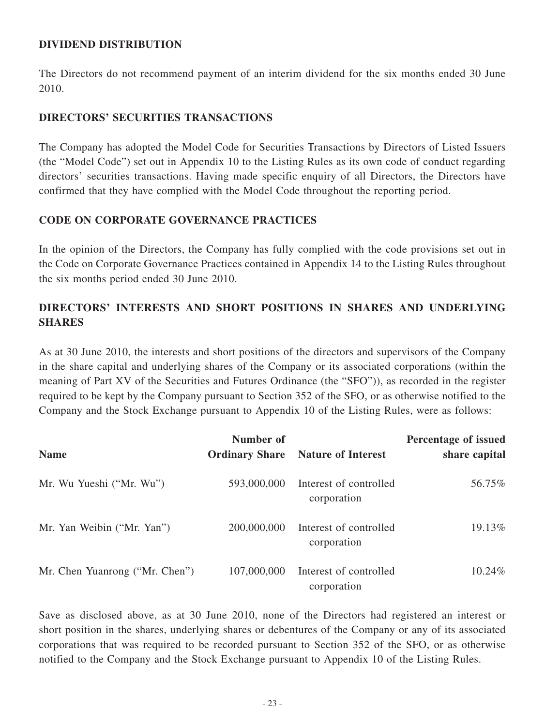### **DIVIDEND DISTRIBUTION**

The Directors do not recommend payment of an interim dividend for the six months ended 30 June 2010.

### **DIRECTORS' SECURITIES TRANSACTIONS**

The Company has adopted the Model Code for Securities Transactions by Directors of Listed Issuers (the "Model Code") set out in Appendix 10 to the Listing Rules as its own code of conduct regarding directors' securities transactions. Having made specific enquiry of all Directors, the Directors have confirmed that they have complied with the Model Code throughout the reporting period.

### **CODE ON CORPORATE GOVERNANCE PRACTICES**

In the opinion of the Directors, the Company has fully complied with the code provisions set out in the Code on Corporate Governance Practices contained in Appendix 14 to the Listing Rules throughout the six months period ended 30 June 2010.

# **DIRECTORS' INTERESTS AND SHORT POSITIONS IN SHARES AND UNDERLYING SHARES**

As at 30 June 2010, the interests and short positions of the directors and supervisors of the Company in the share capital and underlying shares of the Company or its associated corporations (within the meaning of Part XV of the Securities and Futures Ordinance (the "SFO")), as recorded in the register required to be kept by the Company pursuant to Section 352 of the SFO, or as otherwise notified to the Company and the Stock Exchange pursuant to Appendix 10 of the Listing Rules, were as follows:

| <b>Name</b>                    | Number of<br><b>Ordinary Share</b> | <b>Nature of Interest</b>             | Percentage of issued<br>share capital |
|--------------------------------|------------------------------------|---------------------------------------|---------------------------------------|
|                                |                                    |                                       |                                       |
| Mr. Wu Yueshi ("Mr. Wu")       | 593,000,000                        | Interest of controlled<br>corporation | 56.75%                                |
| Mr. Yan Weibin ("Mr. Yan")     | 200,000,000                        | Interest of controlled<br>corporation | 19.13%                                |
| Mr. Chen Yuanrong ("Mr. Chen") | 107,000,000                        | Interest of controlled<br>corporation | 10.24%                                |

Save as disclosed above, as at 30 June 2010, none of the Directors had registered an interest or short position in the shares, underlying shares or debentures of the Company or any of its associated corporations that was required to be recorded pursuant to Section 352 of the SFO, or as otherwise notified to the Company and the Stock Exchange pursuant to Appendix 10 of the Listing Rules.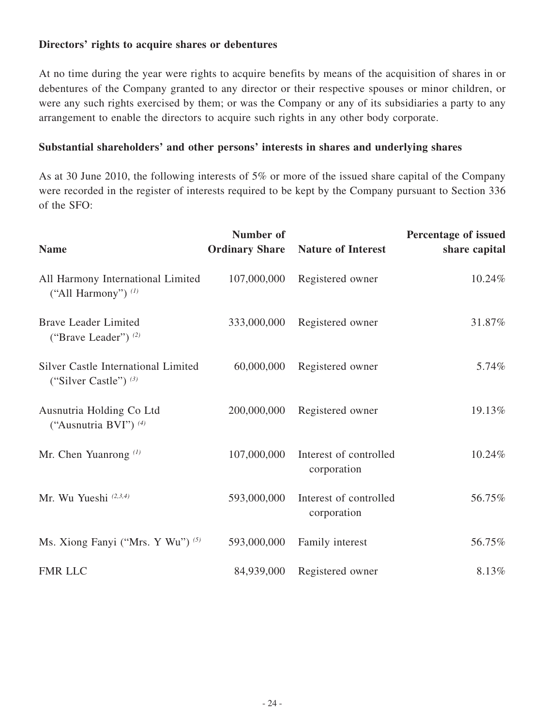### **Directors' rights to acquire shares or debentures**

At no time during the year were rights to acquire benefits by means of the acquisition of shares in or debentures of the Company granted to any director or their respective spouses or minor children, or were any such rights exercised by them; or was the Company or any of its subsidiaries a party to any arrangement to enable the directors to acquire such rights in any other body corporate.

### **Substantial shareholders' and other persons' interests in shares and underlying shares**

As at 30 June 2010, the following interests of 5% or more of the issued share capital of the Company were recorded in the register of interests required to be kept by the Company pursuant to Section 336 of the SFO:

| <b>Name</b>                                                    | Number of<br><b>Ordinary Share</b> | <b>Nature of Interest</b>             | Percentage of issued<br>share capital |
|----------------------------------------------------------------|------------------------------------|---------------------------------------|---------------------------------------|
| All Harmony International Limited<br>("All Harmony") $(1)$     | 107,000,000                        | Registered owner                      | 10.24%                                |
| <b>Brave Leader Limited</b><br>("Brave Leader") $(2)$          | 333,000,000                        | Registered owner                      | 31.87%                                |
| Silver Castle International Limited<br>("Silver Castle") $(3)$ | 60,000,000                         | Registered owner                      | 5.74%                                 |
| Ausnutria Holding Co Ltd<br>("Ausnutria BVI") <sup>(4)</sup>   | 200,000,000                        | Registered owner                      | 19.13%                                |
| Mr. Chen Yuanrong $(1)$                                        | 107,000,000                        | Interest of controlled<br>corporation | 10.24%                                |
| Mr. Wu Yueshi (2,3,4)                                          | 593,000,000                        | Interest of controlled<br>corporation | 56.75%                                |
| Ms. Xiong Fanyi ("Mrs. Y Wu") (5)                              | 593,000,000                        | Family interest                       | 56.75%                                |
| <b>FMR LLC</b>                                                 | 84,939,000                         | Registered owner                      | 8.13%                                 |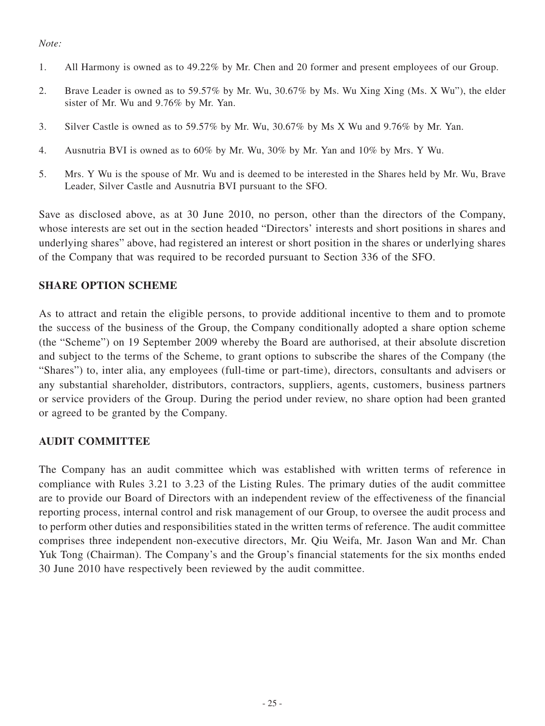#### *Note:*

- 1. All Harmony is owned as to 49.22% by Mr. Chen and 20 former and present employees of our Group.
- 2. Brave Leader is owned as to 59.57% by Mr. Wu, 30.67% by Ms. Wu Xing Xing (Ms. X Wu"), the elder sister of Mr. Wu and 9.76% by Mr. Yan.
- 3. Silver Castle is owned as to 59.57% by Mr. Wu, 30.67% by Ms X Wu and 9.76% by Mr. Yan.
- 4. Ausnutria BVI is owned as to 60% by Mr. Wu, 30% by Mr. Yan and 10% by Mrs. Y Wu.
- 5. Mrs. Y Wu is the spouse of Mr. Wu and is deemed to be interested in the Shares held by Mr. Wu, Brave Leader, Silver Castle and Ausnutria BVI pursuant to the SFO.

Save as disclosed above, as at 30 June 2010, no person, other than the directors of the Company, whose interests are set out in the section headed "Directors' interests and short positions in shares and underlying shares" above, had registered an interest or short position in the shares or underlying shares of the Company that was required to be recorded pursuant to Section 336 of the SFO.

### **Share option scheme**

As to attract and retain the eligible persons, to provide additional incentive to them and to promote the success of the business of the Group, the Company conditionally adopted a share option scheme (the "Scheme") on 19 September 2009 whereby the Board are authorised, at their absolute discretion and subject to the terms of the Scheme, to grant options to subscribe the shares of the Company (the "Shares") to, inter alia, any employees (full-time or part-time), directors, consultants and advisers or any substantial shareholder, distributors, contractors, suppliers, agents, customers, business partners or service providers of the Group. During the period under review, no share option had been granted or agreed to be granted by the Company.

#### **AUDIT COMMITTEE**

The Company has an audit committee which was established with written terms of reference in compliance with Rules 3.21 to 3.23 of the Listing Rules. The primary duties of the audit committee are to provide our Board of Directors with an independent review of the effectiveness of the financial reporting process, internal control and risk management of our Group, to oversee the audit process and to perform other duties and responsibilities stated in the written terms of reference. The audit committee comprises three independent non-executive directors, Mr. Qiu Weifa, Mr. Jason Wan and Mr. Chan Yuk Tong (Chairman). The Company's and the Group's financial statements for the six months ended 30 June 2010 have respectively been reviewed by the audit committee.